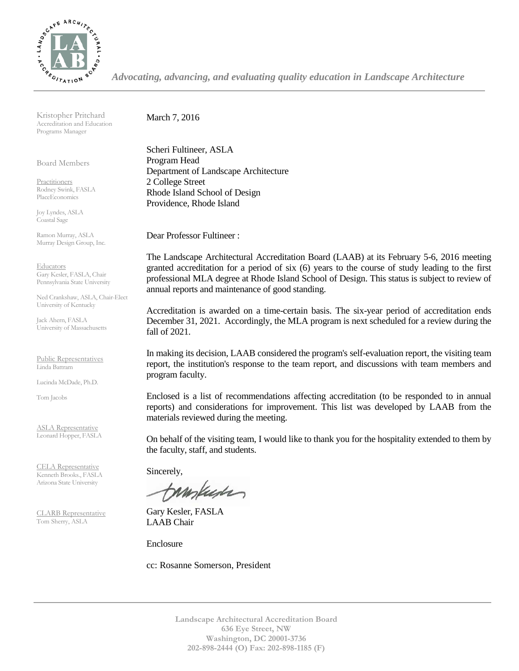

*Advocating, advancing, and evaluating quality education in Landscape Architecture*

Kristopher Pritchard Accreditation and Education Programs Manager

Board Members

Practitioners Rodney Swink, FASLA PlaceEconomics

Joy Lyndes, ASLA Coastal Sage

Ramon Murray, ASLA Murray Design Group, Inc.

Educators Gary Kesler, FASLA, Chair Pennsylvania State University

Ned Crankshaw, ASLA, Chair-Elect University of Kentucky

Jack Ahern, FASLA University of Massachusetts

Public Representatives Linda Battram

Lucinda McDade, Ph.D.

Tom Jacobs

ASLA Representative Leonard Hopper, FASLA

CELA Representative Kenneth Brooks., FASLA Arizona State University

CLARB Representative Tom Sherry, ASLA

March 7, 2016

Scheri Fultineer, ASLA Program Head Department of Landscape Architecture 2 College Street Rhode Island School of Design Providence, Rhode Island

Dear Professor Fultineer :

The Landscape Architectural Accreditation Board (LAAB) at its February 5-6, 2016 meeting granted accreditation for a period of six (6) years to the course of study leading to the first professional MLA degree at Rhode Island School of Design. This status is subject to review of annual reports and maintenance of good standing.

Accreditation is awarded on a time-certain basis. The six-year period of accreditation ends December 31, 2021. Accordingly, the MLA program is next scheduled for a review during the fall of 2021.

In making its decision, LAAB considered the program's self-evaluation report, the visiting team report, the institution's response to the team report, and discussions with team members and program faculty.

Enclosed is a list of recommendations affecting accreditation (to be responded to in annual reports) and considerations for improvement. This list was developed by LAAB from the materials reviewed during the meeting.

On behalf of the visiting team, I would like to thank you for the hospitality extended to them by the faculty, staff, and students.

Sincerely,

tampuser

Gary Kesler, FASLA LAAB Chair

Enclosure

cc: Rosanne Somerson, President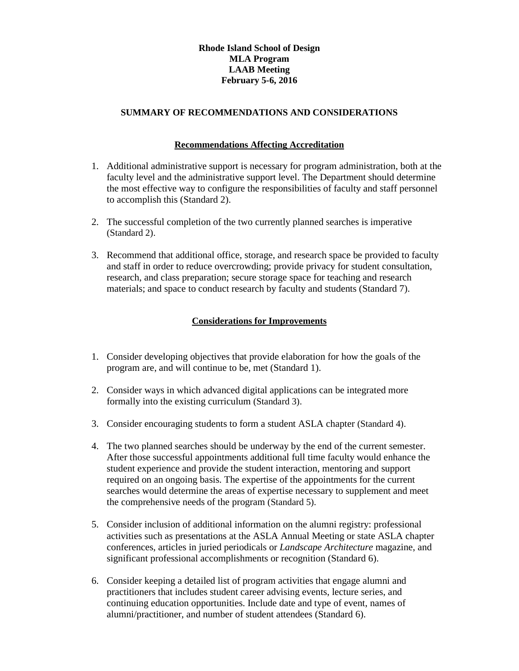## **Rhode Island School of Design MLA Program LAAB Meeting February 5-6, 2016**

## **SUMMARY OF RECOMMENDATIONS AND CONSIDERATIONS**

## **Recommendations Affecting Accreditation**

- 1. Additional administrative support is necessary for program administration, both at the faculty level and the administrative support level. The Department should determine the most effective way to configure the responsibilities of faculty and staff personnel to accomplish this (Standard 2).
- 2. The successful completion of the two currently planned searches is imperative (Standard 2).
- 3. Recommend that additional office, storage, and research space be provided to faculty and staff in order to reduce overcrowding; provide privacy for student consultation, research, and class preparation; secure storage space for teaching and research materials; and space to conduct research by faculty and students (Standard 7).

## **Considerations for Improvements**

- 1. Consider developing objectives that provide elaboration for how the goals of the program are, and will continue to be, met (Standard 1).
- 2. Consider ways in which advanced digital applications can be integrated more formally into the existing curriculum (Standard 3).
- 3. Consider encouraging students to form a student ASLA chapter (Standard 4).
- 4. The two planned searches should be underway by the end of the current semester. After those successful appointments additional full time faculty would enhance the student experience and provide the student interaction, mentoring and support required on an ongoing basis. The expertise of the appointments for the current searches would determine the areas of expertise necessary to supplement and meet the comprehensive needs of the program (Standard 5).
- 5. Consider inclusion of additional information on the alumni registry: professional activities such as presentations at the ASLA Annual Meeting or state ASLA chapter conferences, articles in juried periodicals or *Landscape Architecture* magazine, and significant professional accomplishments or recognition (Standard 6).
- 6. Consider keeping a detailed list of program activities that engage alumni and practitioners that includes student career advising events, lecture series, and continuing education opportunities. Include date and type of event, names of alumni/practitioner, and number of student attendees (Standard 6).